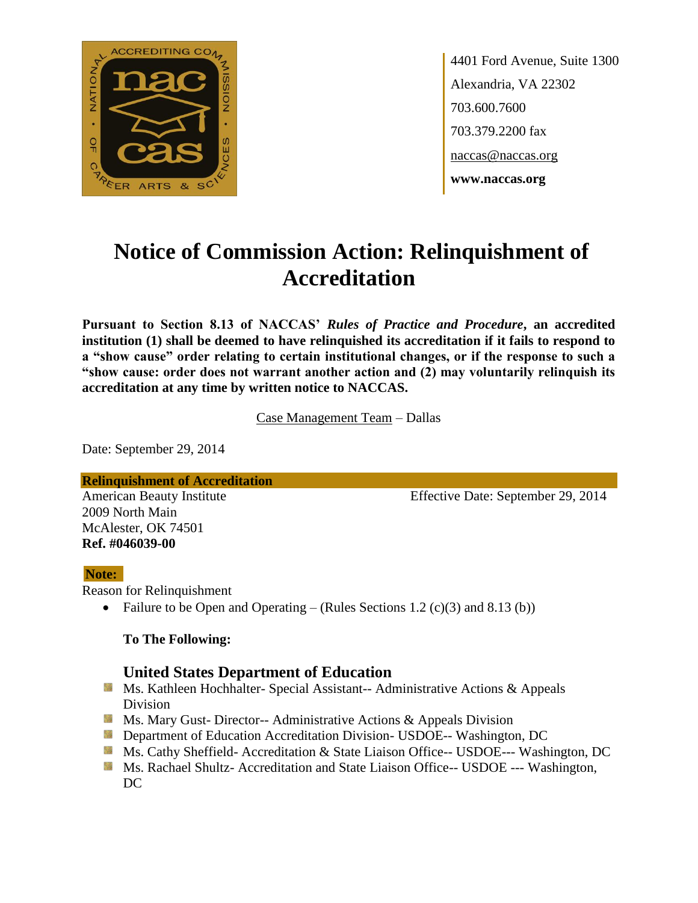

4401 Ford Avenue, Suite 1300 Alexandria, VA 22302 703.600.7600 703.379.2200 fax naccas@naccas.org **www.naccas.org**

# **Notice of Commission Action: Relinquishment of Accreditation**

**Pursuant to Section 8.13 of NACCAS'** *Rules of Practice and Procedure***, an accredited institution (1) shall be deemed to have relinquished its accreditation if it fails to respond to a "show cause" order relating to certain institutional changes, or if the response to such a "show cause: order does not warrant another action and (2) may voluntarily relinquish its accreditation at any time by written notice to NACCAS.**

Case Management Team – Dallas

Date: September 29, 2014

**Relinquishment of Accreditation**

2009 North Main McAlester, OK 74501 **Ref. #046039-00**

American Beauty Institute Effective Date: September 29, 2014

#### **Note:**

Reason for Relinquishment

• Failure to be Open and Operating – (Rules Sections 1.2  $(c)(3)$  and 8.13 (b))

#### **To The Following:**

## **United States Department of Education**

- Ms. Kathleen Hochhalter- Special Assistant-- Administrative Actions & Appeals Division
- **Ms. Mary Gust- Director-- Administrative Actions & Appeals Division**
- **Department of Education Accreditation Division- USDOE-- Washington, DC**
- Ms. Cathy Sheffield- Accreditation & State Liaison Office-- USDOE--- Washington, DC
- **Ms. Rachael Shultz- Accreditation and State Liaison Office-- USDOE --- Washington,** DC